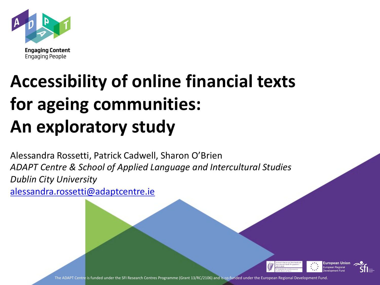

**Engaging People** 

# **Accessibility of online financial texts for ageing communities: An exploratory study**

Alessandra Rossetti, Patrick Cadwell, Sharon O'Brien *ADAPT Centre & School of Applied Language and Intercultural Studies Dublin City University* [alessandra.rossetti@adaptcentre.ie](mailto:alessandra.rossetti@adaptcentre.ie)



The ADAPT Centre is funded under the SFI Research Centres Programme (Grant 13/RC/2106) and is co-funded under the European Regional Development Fund.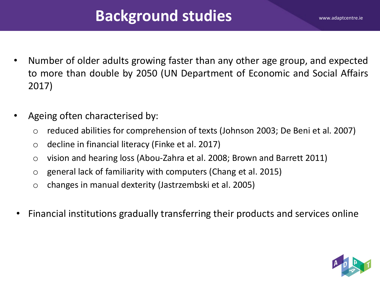# **Background studies**

- Number of older adults growing faster than any other age group, and expected to more than double by 2050 (UN Department of Economic and Social Affairs 2017)
- Ageing often characterised by:
	- o reduced abilities for comprehension of texts (Johnson 2003; De Beni et al. 2007)
	- o decline in financial literacy (Finke et al. 2017)
	- o vision and hearing loss (Abou-Zahra et al. 2008; Brown and Barrett 2011)
	- o general lack of familiarity with computers (Chang et al. 2015)
	- o changes in manual dexterity (Jastrzembski et al. 2005)
- Financial institutions gradually transferring their products and services online

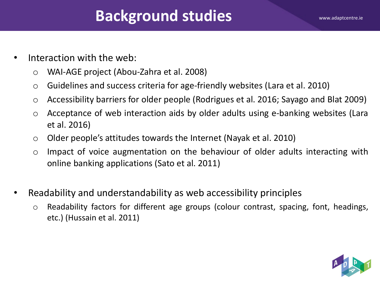# **Background studies**

- Interaction with the web:
	- o WAI-AGE project (Abou-Zahra et al. 2008)
	- o Guidelines and success criteria for age-friendly websites (Lara et al. 2010)
	- o Accessibility barriers for older people (Rodrigues et al. 2016; Sayago and Blat 2009)
	- o Acceptance of web interaction aids by older adults using e-banking websites (Lara et al. 2016)
	- $\circ$  Older people's attitudes towards the Internet (Nayak et al. 2010)
	- o Impact of voice augmentation on the behaviour of older adults interacting with online banking applications (Sato et al. 2011)
- Readability and understandability as web accessibility principles
	- o Readability factors for different age groups (colour contrast, spacing, font, headings, etc.) (Hussain et al. 2011)

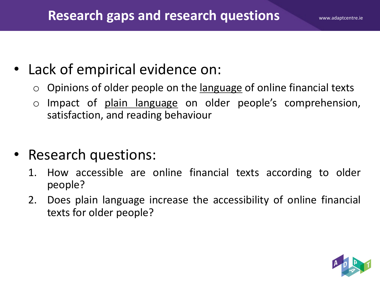# • Lack of empirical evidence on:

- $\circ$  Opinions of older people on the <u>language</u> of online financial texts
- o Impact of plain language on older people's comprehension, satisfaction, and reading behaviour
- Research questions:
	- 1. How accessible are online financial texts according to older people?
	- 2. Does plain language increase the accessibility of online financial texts for older people?

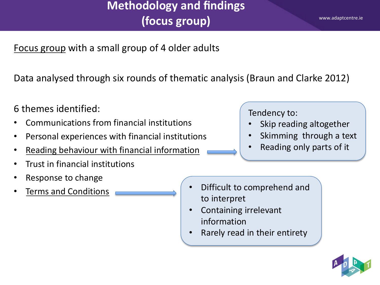## **Methodology and findings (focus group)**

Focus group with a small group of 4 older adults

Data analysed through six rounds of thematic analysis (Braun and Clarke 2012)

6 themes identified:

- Communications from financial institutions
- Personal experiences with financial institutions
- Reading behaviour with financial information
- Trust in financial institutions
- Response to change
- 
- Tendency to:
- Skip reading altogether
- Skimming through a text
- Reading only parts of it

- Terms and Conditions Difficult to comprehend and to interpret
	- Containing irrelevant information
	- Rarely read in their entirety

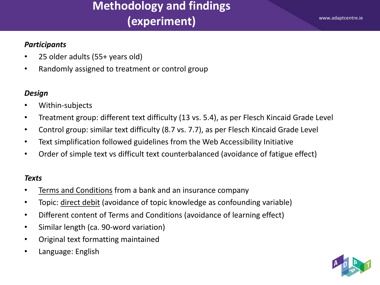#### *Participants*

- 25 older adults (55+ years old)
- Randomly assigned to treatment or control group

#### *Design*

- Within-subjects
- Treatment group: different text difficulty (13 vs. 5.4), as per Flesch Kincaid Grade Level
- Control group: similar text difficulty (8.7 vs. 7.7), as per Flesch Kincaid Grade Level
- Text simplification followed guidelines from the Web Accessibility Initiative
- Order of simple text vs difficult text counterbalanced (avoidance of fatigue effect)

#### *Texts*

- Terms and Conditions from a bank and an insurance company
- Topic: direct debit (avoidance of topic knowledge as confounding variable)
- Different content of Terms and Conditions (avoidance of learning effect)
- Similar length (ca. 90-word variation)
- Original text formatting maintained
- Language: English

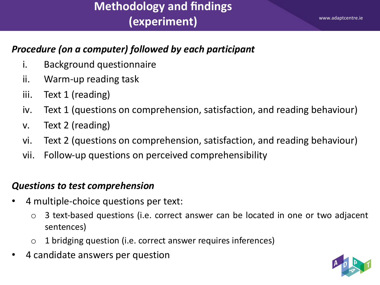#### *Procedure (on a computer) followed by each participant*

- i. Background questionnaire
- ii. Warm-up reading task
- iii. Text 1 (reading)
- iv. Text 1 (questions on comprehension, satisfaction, and reading behaviour)
- v. Text 2 (reading)
- vi. Text 2 (questions on comprehension, satisfaction, and reading behaviour)
- vii. Follow-up questions on perceived comprehensibility

#### *Questions to test comprehension*

- 4 multiple-choice questions per text:
	- o 3 text-based questions (i.e. correct answer can be located in one or two adjacent sentences)
	- o 1 bridging question (i.e. correct answer requires inferences)
- 4 candidate answers per question

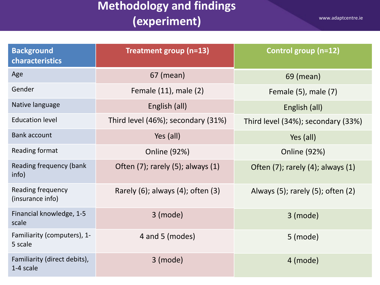| <b>Background</b><br>characteristics      | Treatment group (n=13)                    | Control group (n=12)                      |
|-------------------------------------------|-------------------------------------------|-------------------------------------------|
| Age                                       | 67 (mean)                                 | 69 (mean)                                 |
| Gender                                    | Female (11), male (2)                     | Female (5), male (7)                      |
| Native language                           | English (all)                             | English (all)                             |
| <b>Education level</b>                    | Third level (46%); secondary (31%)        | Third level (34%); secondary (33%)        |
| <b>Bank account</b>                       | Yes (all)                                 | Yes (all)                                 |
| Reading format                            | <b>Online (92%)</b>                       | <b>Online (92%)</b>                       |
| Reading frequency (bank<br>info)          | Often $(7)$ ; rarely $(5)$ ; always $(1)$ | Often $(7)$ ; rarely $(4)$ ; always $(1)$ |
| Reading frequency<br>(insurance info)     | Rarely (6); always (4); often (3)         | Always $(5)$ ; rarely $(5)$ ; often $(2)$ |
| Financial knowledge, 1-5<br>scale         | 3 (mode)                                  | $3$ (mode)                                |
| Familiarity (computers), 1-<br>5 scale    | 4 and 5 (modes)                           | 5 (mode)                                  |
| Familiarity (direct debits),<br>1-4 scale | $3$ (mode)                                | $4$ (mode)                                |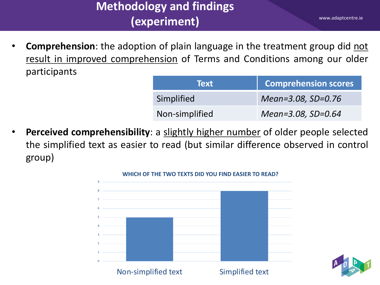• **Comprehension**: the adoption of plain language in the treatment group did not result in improved comprehension of Terms and Conditions among our older participants

| <b>Text</b>    | <b>Comprehension scores</b> |
|----------------|-----------------------------|
| Simplified     | Mean=3.08, SD=0.76          |
| Non-simplified | Mean=3.08, SD=0.64          |

• **Perceived comprehensibility**: a slightly higher number of older people selected the simplified text as easier to read (but similar difference observed in control group)



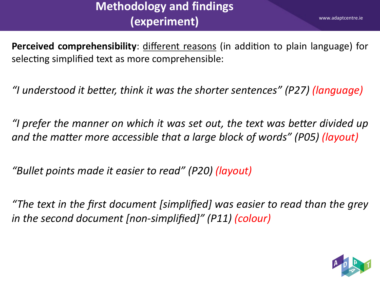www.adaptcentre.ie

**Perceived comprehensibility**: different reasons (in addition to plain language) for selecting simplified text as more comprehensible:

*"I understood it beJer, think it was the shorter sentences" (P27) (language)*

*"I* prefer the manner on which it was set out, the text was better divided up *and* the matter more accessible that a large block of words" (P05) (layout)

*"Bullet points made it easier to read" (P20) (layout)*

*"The text in the first document [simplified] was easier to read than the grey in the second document [non-simplified]" (P11) (colour)*

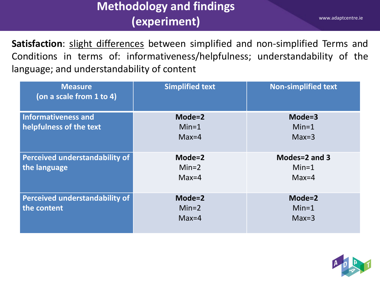www.adaptcentre.ie

Satisfaction: slight differences between simplified and non-simplified Terms and Conditions in terms of: informativeness/helpfulness; understandability of the language; and understandability of content

| <b>Measure</b><br>(on a scale from 1 to 4) | <b>Simplified text</b> | <b>Non-simplified text</b> |
|--------------------------------------------|------------------------|----------------------------|
| <b>Informativeness and</b>                 | $Mode = 2$             | $Mode = 3$                 |
| helpfulness of the text                    | $Min=1$                | $Min=1$                    |
|                                            | $Max=4$                | $Max=3$                    |
| <b>Perceived understandability of</b>      | $Mode = 2$             | Modes=2 and 3              |
| the language                               | $Min=2$                | $Min=1$                    |
|                                            | $Max=4$                | $Max=4$                    |
| <b>Perceived understandability of</b>      | $Mode = 2$             | Mode=2                     |
| the content                                | $Min=2$                | $Min=1$                    |
|                                            | $Max=4$                | $Max=3$                    |

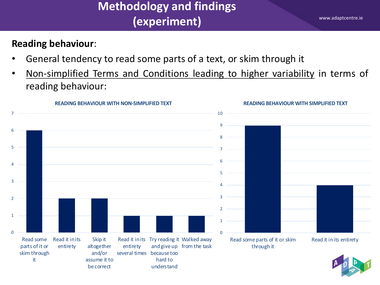#### **Reading behaviour**:

- General tendency to read some parts of a text, or skim through it
- Non-simplified Terms and Conditions leading to higher variability in terms of reading behaviour:

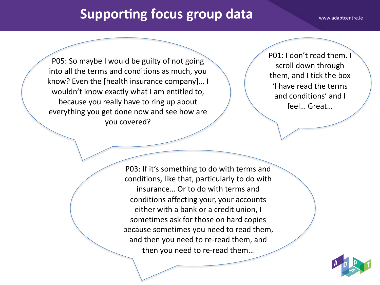## **Supporting focus group data** www.adaptcentre.ie

P05: So maybe I would be guilty of not going into all the terms and conditions as much, you know? Even the [health insurance company]… I wouldn't know exactly what I am entitled to, because you really have to ring up about everything you get done now and see how are you covered?

P01: I don't read them. I scroll down through them, and I tick the box 'I have read the terms and conditions' and I feel… Great…

P03: If it's something to do with terms and conditions, like that, particularly to do with insurance… Or to do with terms and conditions affecting your, your accounts either with a bank or a credit union, I sometimes ask for those on hard copies because sometimes you need to read them, and then you need to re-read them, and then you need to re-read them…

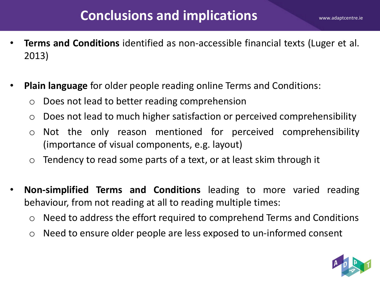- **Terms and Conditions** identified as non-accessible financial texts (Luger et al. 2013)
- **Plain language** for older people reading online Terms and Conditions:
	- o Does not lead to better reading comprehension
	- o Does not lead to much higher satisfaction or perceived comprehensibility
	- o Not the only reason mentioned for perceived comprehensibility (importance of visual components, e.g. layout)
	- $\circ$  Tendency to read some parts of a text, or at least skim through it
- **Non-simplified Terms and Conditions** leading to more varied reading behaviour, from not reading at all to reading multiple times:
	- $\circ$  Need to address the effort required to comprehend Terms and Conditions
	- o Need to ensure older people are less exposed to un-informed consent

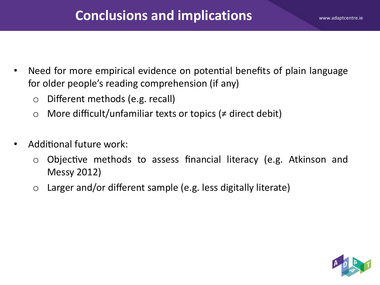- Need for more empirical evidence on potential benefits of plain language for older people's reading comprehension (if any)
	- o Different methods (e.g. recall)
	- o More difficult/unfamiliar texts or topics (≠ direct debit)
- Additional future work:
	- $\circ$  Objective methods to assess financial literacy (e.g. Atkinson and Messy 2012)
	- $\circ$  Larger and/or different sample (e.g. less digitally literate)

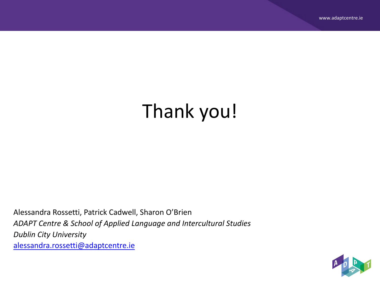# Thank you!

Alessandra Rossetti, Patrick Cadwell, Sharon O'Brien *ADAPT Centre & School of Applied Language and Intercultural Studies Dublin City University* [alessandra.rossetti@adaptcentre.ie](mailto:alessandra.rossetti@adaptcentre.ie)

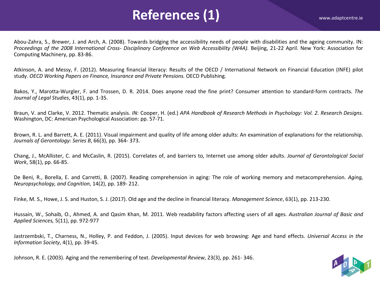## References (1) WWW.adaptcentre.ie

Abou-Zahra, S., Brewer, J. and Arch, A. (2008). Towards bridging the accessibility needs of people with disabilities and the ageing community. IN: Proceedings of the 2008 International Cross- Disciplinary Conference on Web Accessibility (W4A). Beijing, 21-22 April. New York: Association for Computing Machinery, pp. 83-86.

Atkinson, A. and Messy, F. (2012). Measuring financial literacy: Results of the OECD / International Network on Financial Education (INFE) pilot study. *OECD Working Papers on Finance, Insurance and Private Pensions.* OECD Publishing.

Bakos, Y., Marotta-Wurgler, F. and Trossen, D. R. 2014. Does anyone read the fine print? Consumer attention to standard-form contracts. *The Journal of Legal Studies*, 43(1), pp. 1-35.

Braun, V. and Clarke, V. 2012. Thematic analysis. IN: Cooper, H. (ed.) APA Handbook of Research Methods in Psychology: Vol. 2. Research Designs. Washington, DC: American Psychological Association: pp. 57-71.

Brown, R. L. and Barrett, A. E. (2011). Visual impairment and quality of life among older adults: An examination of explanations for the relationship. *Journals of Gerontology: Series B*, 66(3), pp. 364- 373.

Chang, J., McAllister, C. and McCaslin, R. (2015). Correlates of, and barriers to, Internet use among older adults. *Journal of Gerontological Social Work*, 58(1), pp. 66-85.

De Beni, R., Borella, E. and Carretti, B. (2007). Reading comprehension in aging: The role of working memory and metacomprehension. *Aging, Neuropsychology, and Cognition*, 14(2), pp. 189- 212.

Finke, M. S., Howe, J. S. and Huston, S. J. (2017). Old age and the decline in financial literacy. *Management Science*, 63(1), pp. 213-230.

Hussain, W., Sohaib, O., Ahmed, A. and Qasim Khan, M. 2011. Web readability factors affecting users of all ages. *Australian Journal of Basic and Applied Sciences,* 5(11), pp. 972-977

Jastrzembski, T., Charness, N., Holley, P. and Feddon, J. (2005). Input devices for web browsing: Age and hand effects. *Universal Access in the Information Society*, 4(1), pp. 39-45.

Johnson, R. E. (2003). Aging and the remembering of text. *Developmental Review*, 23(3), pp. 261- 346.